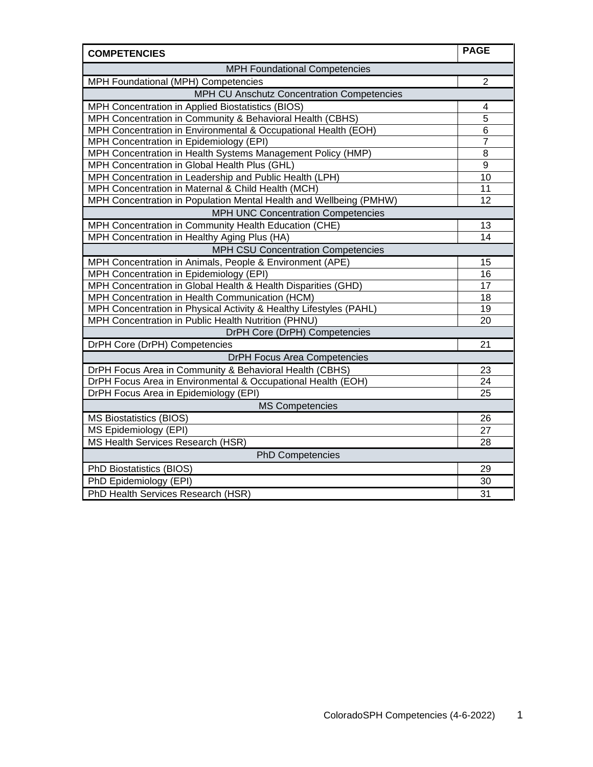| <b>COMPETENCIES</b>                                                | <b>PAGE</b>     |
|--------------------------------------------------------------------|-----------------|
| <b>MPH Foundational Competencies</b>                               |                 |
| MPH Foundational (MPH) Competencies                                | $\overline{2}$  |
| MPH CU Anschutz Concentration Competencies                         |                 |
| MPH Concentration in Applied Biostatistics (BIOS)                  | 4               |
| MPH Concentration in Community & Behavioral Health (CBHS)          | 5               |
| MPH Concentration in Environmental & Occupational Health (EOH)     | 6               |
| MPH Concentration in Epidemiology (EPI)                            | 7               |
| MPH Concentration in Health Systems Management Policy (HMP)        | 8               |
| MPH Concentration in Global Health Plus (GHL)                      | $9$             |
| MPH Concentration in Leadership and Public Health (LPH)            | $\overline{10}$ |
| MPH Concentration in Maternal & Child Health (MCH)                 | 11              |
| MPH Concentration in Population Mental Health and Wellbeing (PMHW) | $\overline{12}$ |
| <b>MPH UNC Concentration Competencies</b>                          |                 |
| MPH Concentration in Community Health Education (CHE)              | 13              |
| MPH Concentration in Healthy Aging Plus (HA)                       | $\overline{14}$ |
| MPH CSU Concentration Competencies                                 |                 |
| MPH Concentration in Animals, People & Environment (APE)           | 15              |
| MPH Concentration in Epidemiology (EPI)                            | 16              |
| MPH Concentration in Global Health & Health Disparities (GHD)      | 17              |
| MPH Concentration in Health Communication (HCM)                    | 18              |
| MPH Concentration in Physical Activity & Healthy Lifestyles (PAHL) | 19              |
| MPH Concentration in Public Health Nutrition (PHNU)                | 20              |
| DrPH Core (DrPH) Competencies                                      |                 |
| DrPH Core (DrPH) Competencies                                      | 21              |
| <b>DrPH Focus Area Competencies</b>                                |                 |
| DrPH Focus Area in Community & Behavioral Health (CBHS)            | 23              |
| DrPH Focus Area in Environmental & Occupational Health (EOH)       | 24              |
| DrPH Focus Area in Epidemiology (EPI)                              | 25              |
| <b>MS Competencies</b>                                             |                 |
| <b>MS Biostatistics (BIOS)</b>                                     | 26              |
| MS Epidemiology (EPI)                                              | 27              |
| MS Health Services Research (HSR)                                  | 28              |
| <b>PhD Competencies</b>                                            |                 |
| PhD Biostatistics (BIOS)                                           | 29              |
| PhD Epidemiology (EPI)                                             | 30              |
| PhD Health Services Research (HSR)                                 | 31              |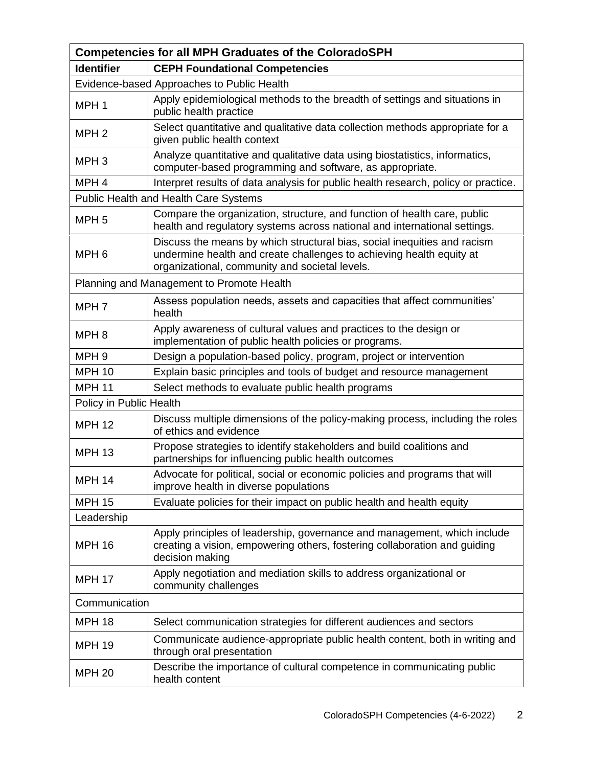|                         | <b>Competencies for all MPH Graduates of the ColoradoSPH</b>                                                                                                                                       |  |
|-------------------------|----------------------------------------------------------------------------------------------------------------------------------------------------------------------------------------------------|--|
| <b>Identifier</b>       | <b>CEPH Foundational Competencies</b>                                                                                                                                                              |  |
|                         | Evidence-based Approaches to Public Health                                                                                                                                                         |  |
| MPH <sub>1</sub>        | Apply epidemiological methods to the breadth of settings and situations in<br>public health practice                                                                                               |  |
| MPH <sub>2</sub>        | Select quantitative and qualitative data collection methods appropriate for a<br>given public health context                                                                                       |  |
| MPH <sub>3</sub>        | Analyze quantitative and qualitative data using biostatistics, informatics,<br>computer-based programming and software, as appropriate.                                                            |  |
| MPH <sub>4</sub>        | Interpret results of data analysis for public health research, policy or practice.                                                                                                                 |  |
|                         | Public Health and Health Care Systems                                                                                                                                                              |  |
| MPH <sub>5</sub>        | Compare the organization, structure, and function of health care, public<br>health and regulatory systems across national and international settings.                                              |  |
| MPH <sub>6</sub>        | Discuss the means by which structural bias, social inequities and racism<br>undermine health and create challenges to achieving health equity at<br>organizational, community and societal levels. |  |
|                         | Planning and Management to Promote Health                                                                                                                                                          |  |
| MPH <sub>7</sub>        | Assess population needs, assets and capacities that affect communities'<br>health                                                                                                                  |  |
| MPH <sub>8</sub>        | Apply awareness of cultural values and practices to the design or<br>implementation of public health policies or programs.                                                                         |  |
| MPH <sub>9</sub>        | Design a population-based policy, program, project or intervention                                                                                                                                 |  |
| <b>MPH 10</b>           | Explain basic principles and tools of budget and resource management                                                                                                                               |  |
| <b>MPH 11</b>           | Select methods to evaluate public health programs                                                                                                                                                  |  |
| Policy in Public Health |                                                                                                                                                                                                    |  |
| <b>MPH 12</b>           | Discuss multiple dimensions of the policy-making process, including the roles<br>of ethics and evidence                                                                                            |  |
| <b>MPH 13</b>           | Propose strategies to identify stakeholders and build coalitions and<br>partnerships for influencing public health outcomes                                                                        |  |
| <b>MPH 14</b>           | Advocate for political, social or economic policies and programs that will<br>improve health in diverse populations                                                                                |  |
| <b>MPH 15</b>           | Evaluate policies for their impact on public health and health equity                                                                                                                              |  |
| Leadership              |                                                                                                                                                                                                    |  |
| <b>MPH 16</b>           | Apply principles of leadership, governance and management, which include<br>creating a vision, empowering others, fostering collaboration and guiding<br>decision making                           |  |
| <b>MPH 17</b>           | Apply negotiation and mediation skills to address organizational or<br>community challenges                                                                                                        |  |
| Communication           |                                                                                                                                                                                                    |  |
| <b>MPH 18</b>           | Select communication strategies for different audiences and sectors                                                                                                                                |  |
| <b>MPH 19</b>           | Communicate audience-appropriate public health content, both in writing and<br>through oral presentation                                                                                           |  |
| <b>MPH 20</b>           | Describe the importance of cultural competence in communicating public<br>health content                                                                                                           |  |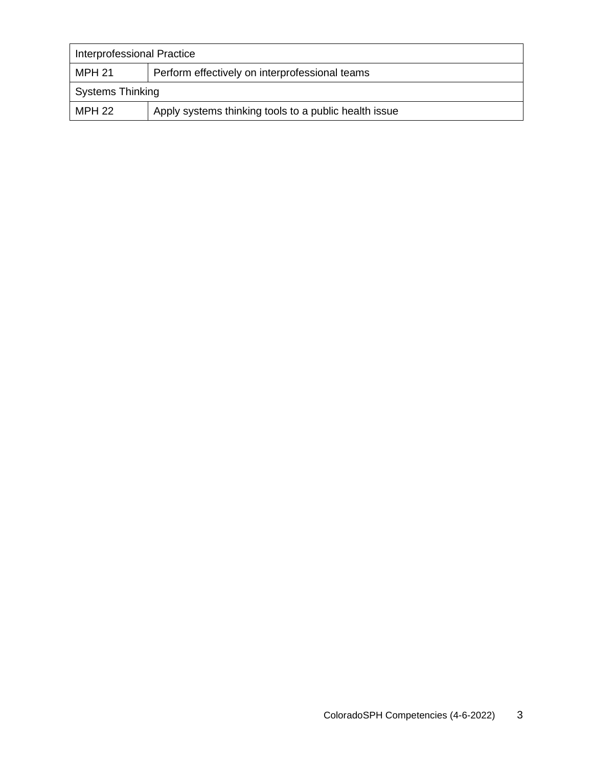| Interprofessional Practice |                                                       |  |
|----------------------------|-------------------------------------------------------|--|
| MPH 21                     | Perform effectively on interprofessional teams        |  |
| <b>Systems Thinking</b>    |                                                       |  |
| MPH 22                     | Apply systems thinking tools to a public health issue |  |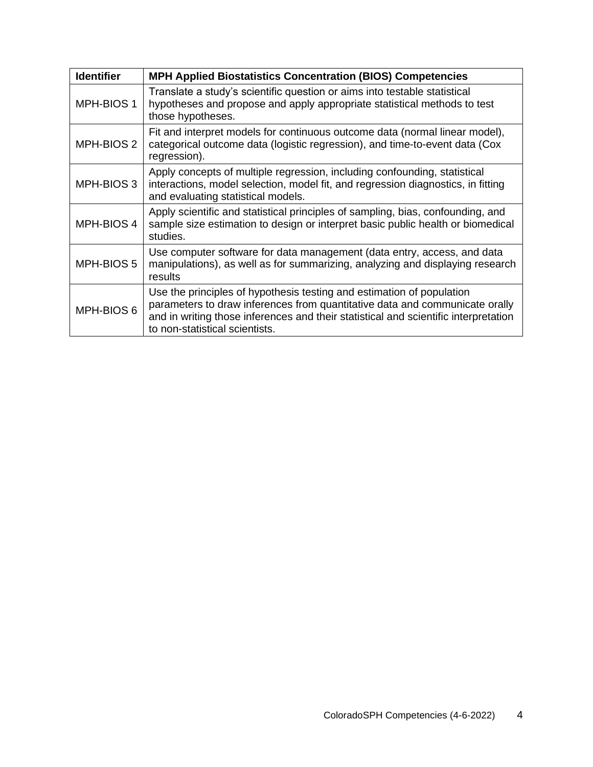| <b>Identifier</b> | <b>MPH Applied Biostatistics Concentration (BIOS) Competencies</b>                                                                                                                                                                                                            |
|-------------------|-------------------------------------------------------------------------------------------------------------------------------------------------------------------------------------------------------------------------------------------------------------------------------|
| MPH-BIOS 1        | Translate a study's scientific question or aims into testable statistical<br>hypotheses and propose and apply appropriate statistical methods to test<br>those hypotheses.                                                                                                    |
| MPH-BIOS 2        | Fit and interpret models for continuous outcome data (normal linear model),<br>categorical outcome data (logistic regression), and time-to-event data (Cox<br>regression).                                                                                                    |
| MPH-BIOS 3        | Apply concepts of multiple regression, including confounding, statistical<br>interactions, model selection, model fit, and regression diagnostics, in fitting<br>and evaluating statistical models.                                                                           |
| MPH-BIOS 4        | Apply scientific and statistical principles of sampling, bias, confounding, and<br>sample size estimation to design or interpret basic public health or biomedical<br>studies.                                                                                                |
| MPH-BIOS 5        | Use computer software for data management (data entry, access, and data<br>manipulations), as well as for summarizing, analyzing and displaying research<br>results                                                                                                           |
| MPH-BIOS 6        | Use the principles of hypothesis testing and estimation of population<br>parameters to draw inferences from quantitative data and communicate orally<br>and in writing those inferences and their statistical and scientific interpretation<br>to non-statistical scientists. |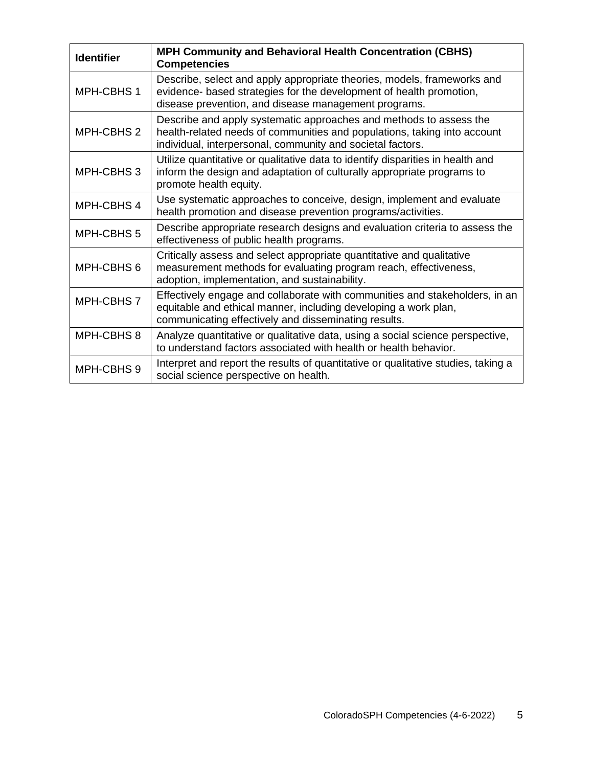| <b>Identifier</b> | <b>MPH Community and Behavioral Health Concentration (CBHS)</b><br><b>Competencies</b>                                                                                                                       |
|-------------------|--------------------------------------------------------------------------------------------------------------------------------------------------------------------------------------------------------------|
| MPH-CBHS 1        | Describe, select and apply appropriate theories, models, frameworks and<br>evidence- based strategies for the development of health promotion,<br>disease prevention, and disease management programs.       |
| MPH-CBHS 2        | Describe and apply systematic approaches and methods to assess the<br>health-related needs of communities and populations, taking into account<br>individual, interpersonal, community and societal factors. |
| MPH-CBHS 3        | Utilize quantitative or qualitative data to identify disparities in health and<br>inform the design and adaptation of culturally appropriate programs to<br>promote health equity.                           |
| MPH-CBHS 4        | Use systematic approaches to conceive, design, implement and evaluate<br>health promotion and disease prevention programs/activities.                                                                        |
| MPH-CBHS 5        | Describe appropriate research designs and evaluation criteria to assess the<br>effectiveness of public health programs.                                                                                      |
| MPH-CBHS 6        | Critically assess and select appropriate quantitative and qualitative<br>measurement methods for evaluating program reach, effectiveness,<br>adoption, implementation, and sustainability.                   |
| MPH-CBHS7         | Effectively engage and collaborate with communities and stakeholders, in an<br>equitable and ethical manner, including developing a work plan,<br>communicating effectively and disseminating results.       |
| MPH-CBHS 8        | Analyze quantitative or qualitative data, using a social science perspective,<br>to understand factors associated with health or health behavior.                                                            |
| MPH-CBHS 9        | Interpret and report the results of quantitative or qualitative studies, taking a<br>social science perspective on health.                                                                                   |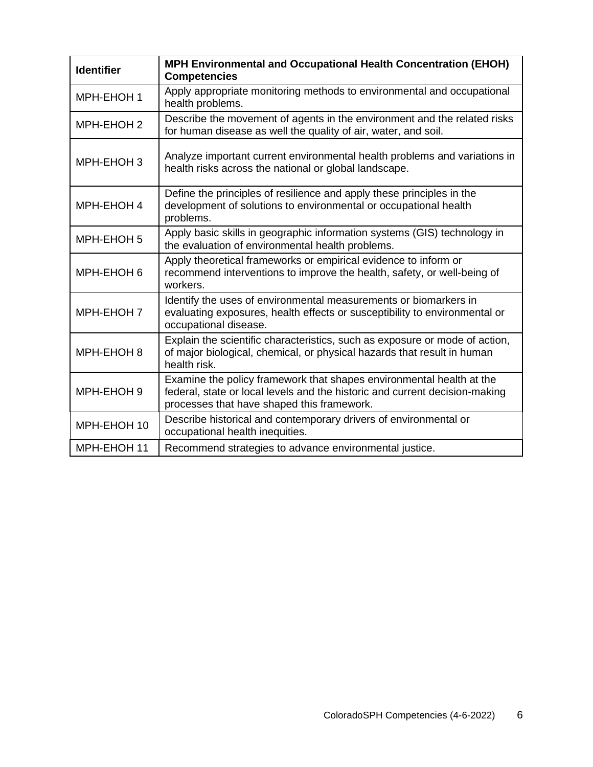| <b>Identifier</b> | <b>MPH Environmental and Occupational Health Concentration (EHOH)</b><br><b>Competencies</b>                                                                                                      |
|-------------------|---------------------------------------------------------------------------------------------------------------------------------------------------------------------------------------------------|
| MPH-EHOH 1        | Apply appropriate monitoring methods to environmental and occupational<br>health problems.                                                                                                        |
| MPH-EHOH 2        | Describe the movement of agents in the environment and the related risks<br>for human disease as well the quality of air, water, and soil.                                                        |
| MPH-EHOH 3        | Analyze important current environmental health problems and variations in<br>health risks across the national or global landscape.                                                                |
| MPH-EHOH 4        | Define the principles of resilience and apply these principles in the<br>development of solutions to environmental or occupational health<br>problems.                                            |
| MPH-EHOH 5        | Apply basic skills in geographic information systems (GIS) technology in<br>the evaluation of environmental health problems.                                                                      |
| MPH-EHOH 6        | Apply theoretical frameworks or empirical evidence to inform or<br>recommend interventions to improve the health, safety, or well-being of<br>workers.                                            |
| MPH-EHOH 7        | Identify the uses of environmental measurements or biomarkers in<br>evaluating exposures, health effects or susceptibility to environmental or<br>occupational disease.                           |
| MPH-EHOH 8        | Explain the scientific characteristics, such as exposure or mode of action,<br>of major biological, chemical, or physical hazards that result in human<br>health risk.                            |
| MPH-EHOH 9        | Examine the policy framework that shapes environmental health at the<br>federal, state or local levels and the historic and current decision-making<br>processes that have shaped this framework. |
| MPH-EHOH 10       | Describe historical and contemporary drivers of environmental or<br>occupational health inequities.                                                                                               |
| MPH-EHOH 11       | Recommend strategies to advance environmental justice.                                                                                                                                            |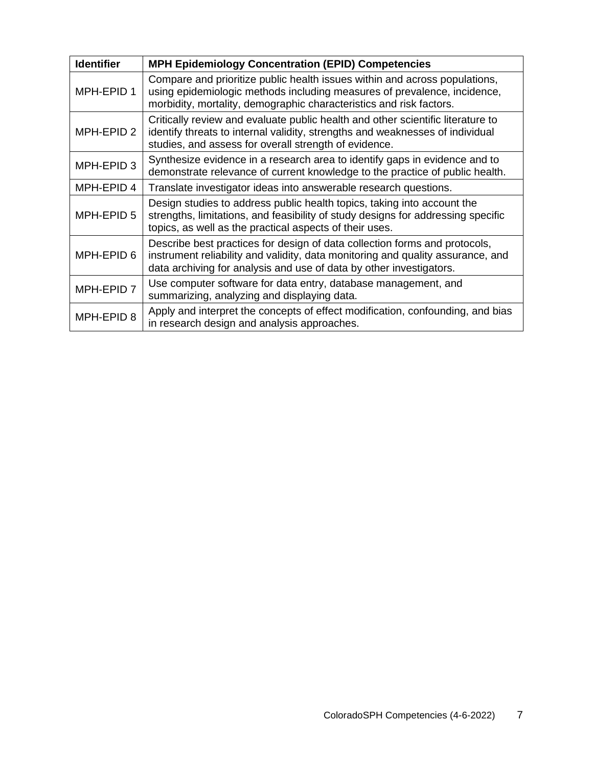| <b>Identifier</b> | <b>MPH Epidemiology Concentration (EPID) Competencies</b>                                                                                                                                                                            |
|-------------------|--------------------------------------------------------------------------------------------------------------------------------------------------------------------------------------------------------------------------------------|
| MPH-EPID 1        | Compare and prioritize public health issues within and across populations,<br>using epidemiologic methods including measures of prevalence, incidence,<br>morbidity, mortality, demographic characteristics and risk factors.        |
| MPH-EPID 2        | Critically review and evaluate public health and other scientific literature to<br>identify threats to internal validity, strengths and weaknesses of individual<br>studies, and assess for overall strength of evidence.            |
| MPH-EPID 3        | Synthesize evidence in a research area to identify gaps in evidence and to<br>demonstrate relevance of current knowledge to the practice of public health.                                                                           |
| MPH-EPID 4        | Translate investigator ideas into answerable research questions.                                                                                                                                                                     |
| MPH-EPID 5        | Design studies to address public health topics, taking into account the<br>strengths, limitations, and feasibility of study designs for addressing specific<br>topics, as well as the practical aspects of their uses.               |
| MPH-EPID 6        | Describe best practices for design of data collection forms and protocols,<br>instrument reliability and validity, data monitoring and quality assurance, and<br>data archiving for analysis and use of data by other investigators. |
| MPH-EPID 7        | Use computer software for data entry, database management, and<br>summarizing, analyzing and displaying data.                                                                                                                        |
| MPH-EPID 8        | Apply and interpret the concepts of effect modification, confounding, and bias<br>in research design and analysis approaches.                                                                                                        |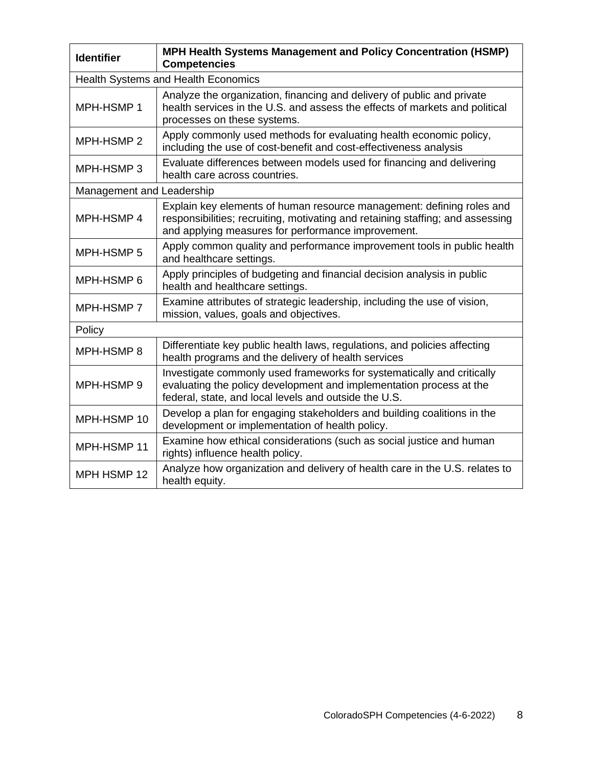| <b>Identifier</b>         | MPH Health Systems Management and Policy Concentration (HSMP)<br><b>Competencies</b>                                                                                                                          |  |
|---------------------------|---------------------------------------------------------------------------------------------------------------------------------------------------------------------------------------------------------------|--|
|                           | <b>Health Systems and Health Economics</b>                                                                                                                                                                    |  |
| MPH-HSMP 1                | Analyze the organization, financing and delivery of public and private<br>health services in the U.S. and assess the effects of markets and political<br>processes on these systems.                          |  |
| MPH-HSMP 2                | Apply commonly used methods for evaluating health economic policy,<br>including the use of cost-benefit and cost-effectiveness analysis                                                                       |  |
| MPH-HSMP3                 | Evaluate differences between models used for financing and delivering<br>health care across countries.                                                                                                        |  |
| Management and Leadership |                                                                                                                                                                                                               |  |
| MPH-HSMP 4                | Explain key elements of human resource management: defining roles and<br>responsibilities; recruiting, motivating and retaining staffing; and assessing<br>and applying measures for performance improvement. |  |
| MPH-HSMP 5                | Apply common quality and performance improvement tools in public health<br>and healthcare settings.                                                                                                           |  |
| MPH-HSMP 6                | Apply principles of budgeting and financial decision analysis in public<br>health and healthcare settings.                                                                                                    |  |
| MPH-HSMP 7                | Examine attributes of strategic leadership, including the use of vision,<br>mission, values, goals and objectives.                                                                                            |  |
| Policy                    |                                                                                                                                                                                                               |  |
| MPH-HSMP 8                | Differentiate key public health laws, regulations, and policies affecting<br>health programs and the delivery of health services                                                                              |  |
| MPH-HSMP 9                | Investigate commonly used frameworks for systematically and critically<br>evaluating the policy development and implementation process at the<br>federal, state, and local levels and outside the U.S.        |  |
| MPH-HSMP 10               | Develop a plan for engaging stakeholders and building coalitions in the<br>development or implementation of health policy.                                                                                    |  |
| MPH-HSMP 11               | Examine how ethical considerations (such as social justice and human<br>rights) influence health policy.                                                                                                      |  |
| MPH HSMP 12               | Analyze how organization and delivery of health care in the U.S. relates to<br>health equity.                                                                                                                 |  |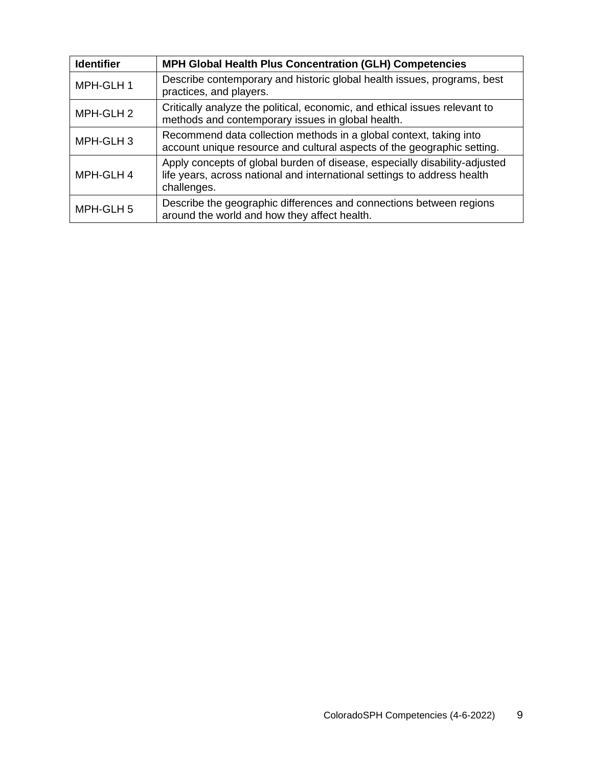| <b>Identifier</b> | MPH Global Health Plus Concentration (GLH) Competencies                                                                                                               |
|-------------------|-----------------------------------------------------------------------------------------------------------------------------------------------------------------------|
| MPH-GLH 1         | Describe contemporary and historic global health issues, programs, best<br>practices, and players.                                                                    |
| MPH-GLH 2         | Critically analyze the political, economic, and ethical issues relevant to<br>methods and contemporary issues in global health.                                       |
| MPH-GLH 3         | Recommend data collection methods in a global context, taking into<br>account unique resource and cultural aspects of the geographic setting.                         |
| MPH-GLH 4         | Apply concepts of global burden of disease, especially disability-adjusted<br>life years, across national and international settings to address health<br>challenges. |
| MPH-GLH 5         | Describe the geographic differences and connections between regions<br>around the world and how they affect health.                                                   |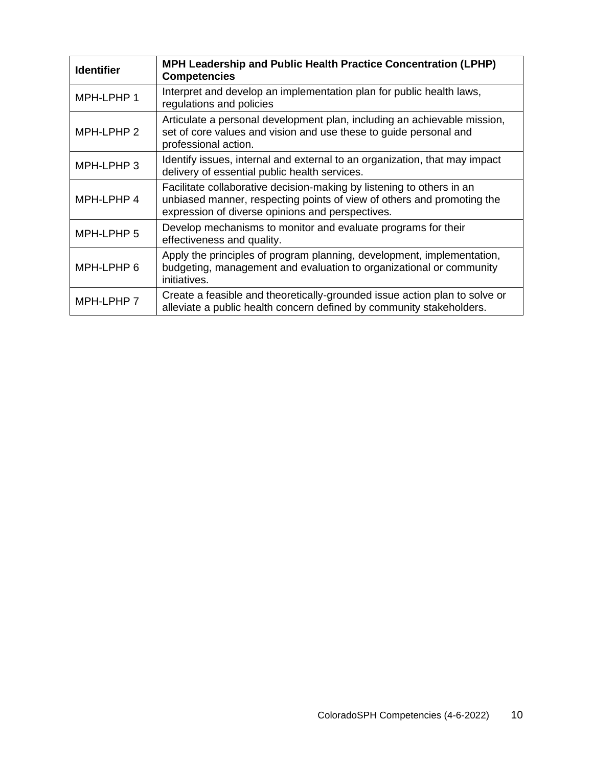| <b>Identifier</b> | MPH Leadership and Public Health Practice Concentration (LPHP)<br><b>Competencies</b>                                                                                                               |
|-------------------|-----------------------------------------------------------------------------------------------------------------------------------------------------------------------------------------------------|
| MPH-LPHP 1        | Interpret and develop an implementation plan for public health laws,<br>regulations and policies                                                                                                    |
| MPH-LPHP 2        | Articulate a personal development plan, including an achievable mission,<br>set of core values and vision and use these to guide personal and<br>professional action.                               |
| MPH-LPHP 3        | Identify issues, internal and external to an organization, that may impact<br>delivery of essential public health services.                                                                         |
| MPH-LPHP 4        | Facilitate collaborative decision-making by listening to others in an<br>unbiased manner, respecting points of view of others and promoting the<br>expression of diverse opinions and perspectives. |
| MPH-LPHP 5        | Develop mechanisms to monitor and evaluate programs for their<br>effectiveness and quality.                                                                                                         |
| MPH-LPHP 6        | Apply the principles of program planning, development, implementation,<br>budgeting, management and evaluation to organizational or community<br>initiatives.                                       |
| MPH-LPHP 7        | Create a feasible and theoretically-grounded issue action plan to solve or<br>alleviate a public health concern defined by community stakeholders.                                                  |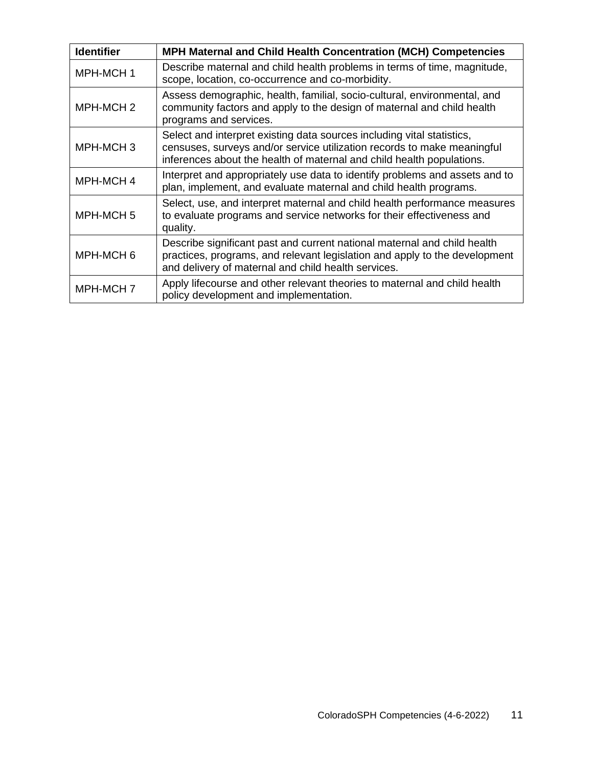| <b>Identifier</b>    | MPH Maternal and Child Health Concentration (MCH) Competencies                                                                                                                                                             |
|----------------------|----------------------------------------------------------------------------------------------------------------------------------------------------------------------------------------------------------------------------|
| MPH-MCH 1            | Describe maternal and child health problems in terms of time, magnitude,<br>scope, location, co-occurrence and co-morbidity.                                                                                               |
| MPH-MCH <sub>2</sub> | Assess demographic, health, familial, socio-cultural, environmental, and<br>community factors and apply to the design of maternal and child health<br>programs and services.                                               |
| MPH-MCH <sub>3</sub> | Select and interpret existing data sources including vital statistics,<br>censuses, surveys and/or service utilization records to make meaningful<br>inferences about the health of maternal and child health populations. |
| MPH-MCH 4            | Interpret and appropriately use data to identify problems and assets and to<br>plan, implement, and evaluate maternal and child health programs.                                                                           |
| MPH-MCH <sub>5</sub> | Select, use, and interpret maternal and child health performance measures<br>to evaluate programs and service networks for their effectiveness and<br>quality.                                                             |
| MPH-MCH 6            | Describe significant past and current national maternal and child health<br>practices, programs, and relevant legislation and apply to the development<br>and delivery of maternal and child health services.              |
| MPH-MCH7             | Apply lifecourse and other relevant theories to maternal and child health<br>policy development and implementation.                                                                                                        |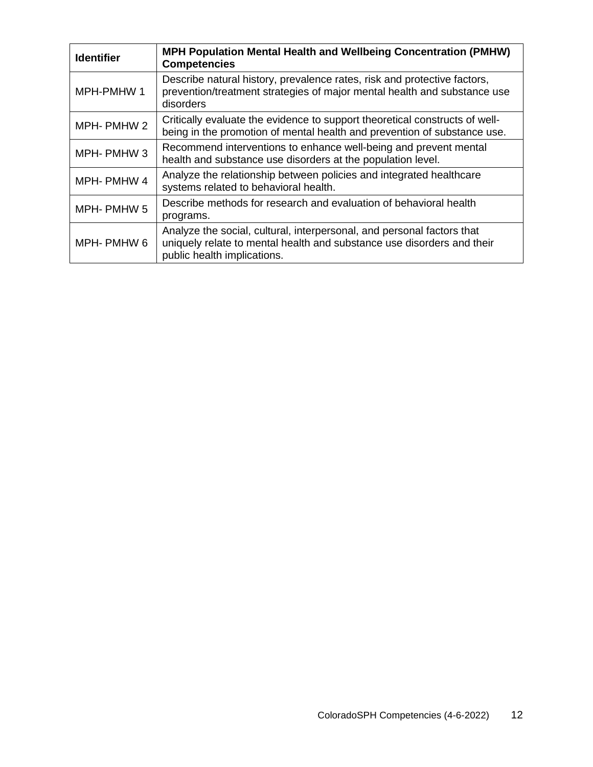| <b>Identifier</b> | <b>MPH Population Mental Health and Wellbeing Concentration (PMHW)</b><br><b>Competencies</b>                                                                                   |
|-------------------|---------------------------------------------------------------------------------------------------------------------------------------------------------------------------------|
| MPH-PMHW 1        | Describe natural history, prevalence rates, risk and protective factors,<br>prevention/treatment strategies of major mental health and substance use<br>disorders               |
| MPH-PMHW 2        | Critically evaluate the evidence to support theoretical constructs of well-<br>being in the promotion of mental health and prevention of substance use.                         |
| MPH-PMHW3         | Recommend interventions to enhance well-being and prevent mental<br>health and substance use disorders at the population level.                                                 |
| MPH-PMHW4         | Analyze the relationship between policies and integrated healthcare<br>systems related to behavioral health.                                                                    |
| MPH-PMHW 5        | Describe methods for research and evaluation of behavioral health<br>programs.                                                                                                  |
| MPH- PMHW 6       | Analyze the social, cultural, interpersonal, and personal factors that<br>uniquely relate to mental health and substance use disorders and their<br>public health implications. |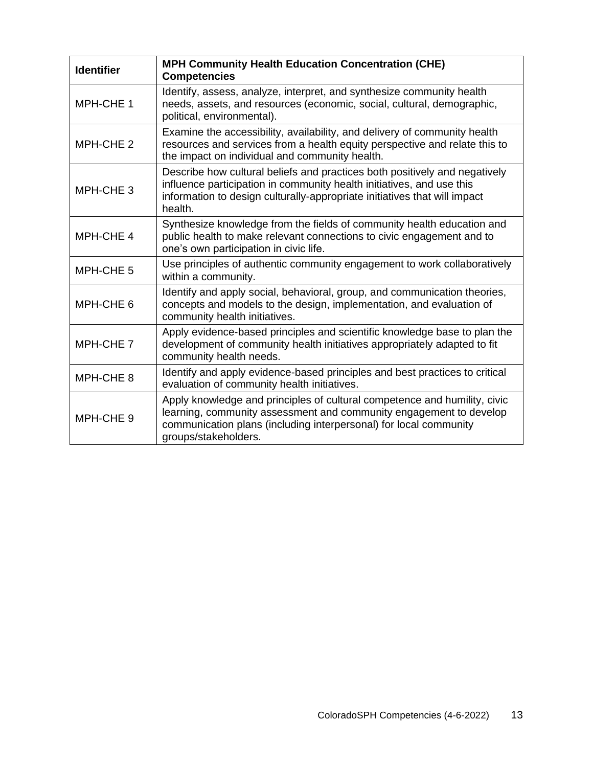| <b>Identifier</b>    | <b>MPH Community Health Education Concentration (CHE)</b><br><b>Competencies</b>                                                                                                                                                             |
|----------------------|----------------------------------------------------------------------------------------------------------------------------------------------------------------------------------------------------------------------------------------------|
| MPH-CHE 1            | Identify, assess, analyze, interpret, and synthesize community health<br>needs, assets, and resources (economic, social, cultural, demographic,<br>political, environmental).                                                                |
| MPH-CHE 2            | Examine the accessibility, availability, and delivery of community health<br>resources and services from a health equity perspective and relate this to<br>the impact on individual and community health.                                    |
| MPH-CHE <sub>3</sub> | Describe how cultural beliefs and practices both positively and negatively<br>influence participation in community health initiatives, and use this<br>information to design culturally-appropriate initiatives that will impact<br>health.  |
| MPH-CHE 4            | Synthesize knowledge from the fields of community health education and<br>public health to make relevant connections to civic engagement and to<br>one's own participation in civic life.                                                    |
| MPH-CHE <sub>5</sub> | Use principles of authentic community engagement to work collaboratively<br>within a community.                                                                                                                                              |
| MPH-CHE 6            | Identify and apply social, behavioral, group, and communication theories,<br>concepts and models to the design, implementation, and evaluation of<br>community health initiatives.                                                           |
| MPH-CHE 7            | Apply evidence-based principles and scientific knowledge base to plan the<br>development of community health initiatives appropriately adapted to fit<br>community health needs.                                                             |
| MPH-CHE 8            | Identify and apply evidence-based principles and best practices to critical<br>evaluation of community health initiatives.                                                                                                                   |
| MPH-CHE 9            | Apply knowledge and principles of cultural competence and humility, civic<br>learning, community assessment and community engagement to develop<br>communication plans (including interpersonal) for local community<br>groups/stakeholders. |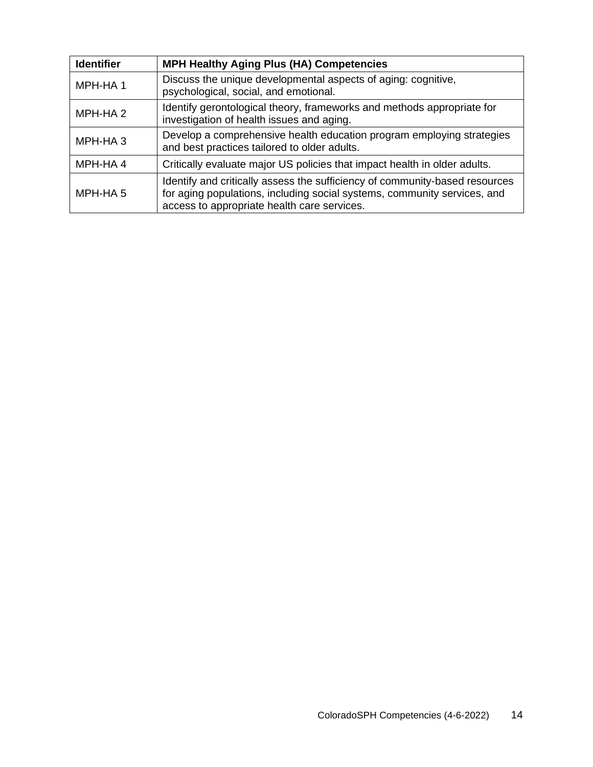| <b>Identifier</b>   | <b>MPH Healthy Aging Plus (HA) Competencies</b>                                                                                                                                                        |
|---------------------|--------------------------------------------------------------------------------------------------------------------------------------------------------------------------------------------------------|
| MPH-HA1             | Discuss the unique developmental aspects of aging: cognitive,<br>psychological, social, and emotional.                                                                                                 |
| MPH-HA <sub>2</sub> | Identify gerontological theory, frameworks and methods appropriate for<br>investigation of health issues and aging.                                                                                    |
| MPH-HA <sub>3</sub> | Develop a comprehensive health education program employing strategies<br>and best practices tailored to older adults.                                                                                  |
| MPH-HA4             | Critically evaluate major US policies that impact health in older adults.                                                                                                                              |
| MPH-HA 5            | Identify and critically assess the sufficiency of community-based resources<br>for aging populations, including social systems, community services, and<br>access to appropriate health care services. |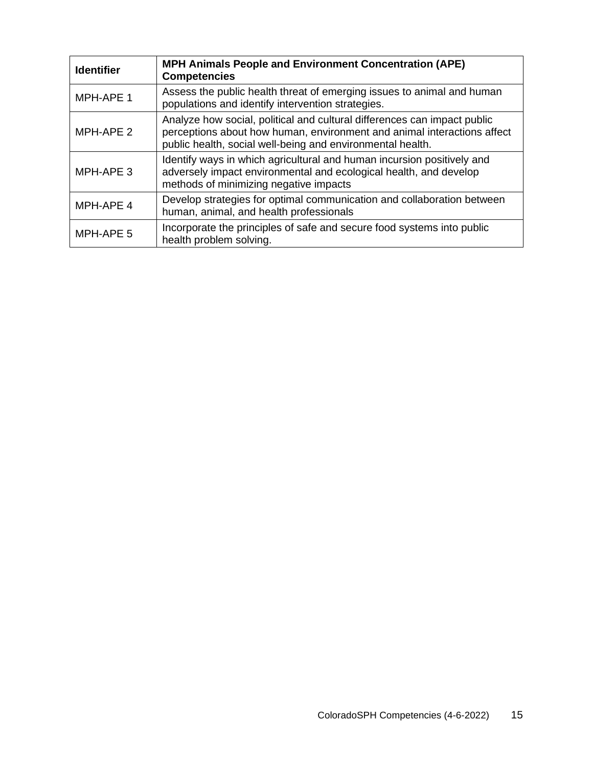| <b>Identifier</b> | <b>MPH Animals People and Environment Concentration (APE)</b><br><b>Competencies</b>                                                                                                                              |
|-------------------|-------------------------------------------------------------------------------------------------------------------------------------------------------------------------------------------------------------------|
| MPH-APE 1         | Assess the public health threat of emerging issues to animal and human<br>populations and identify intervention strategies.                                                                                       |
| MPH-APE 2         | Analyze how social, political and cultural differences can impact public<br>perceptions about how human, environment and animal interactions affect<br>public health, social well-being and environmental health. |
| MPH-APE 3         | Identify ways in which agricultural and human incursion positively and<br>adversely impact environmental and ecological health, and develop<br>methods of minimizing negative impacts                             |
| MPH-APE 4         | Develop strategies for optimal communication and collaboration between<br>human, animal, and health professionals                                                                                                 |
| MPH-APE 5         | Incorporate the principles of safe and secure food systems into public<br>health problem solving.                                                                                                                 |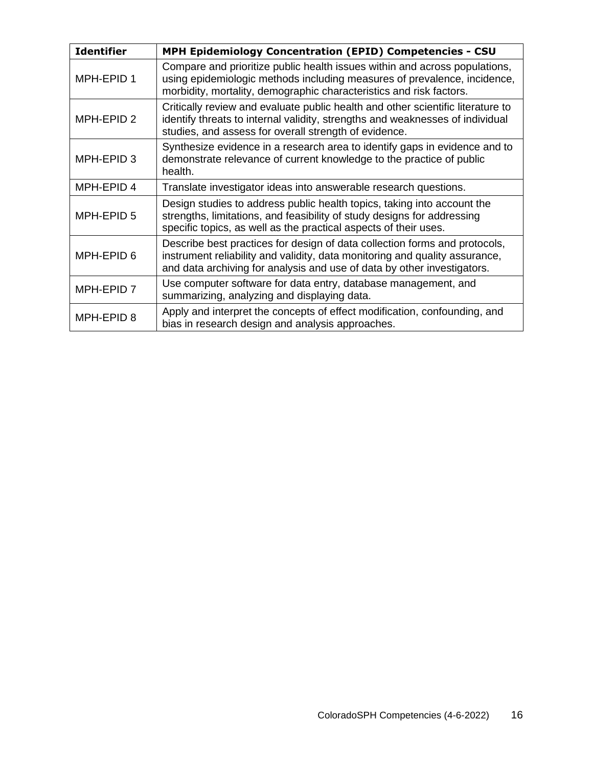| <b>Identifier</b> | <b>MPH Epidemiology Concentration (EPID) Competencies - CSU</b>                                                                                                                                                                      |
|-------------------|--------------------------------------------------------------------------------------------------------------------------------------------------------------------------------------------------------------------------------------|
| MPH-EPID 1        | Compare and prioritize public health issues within and across populations,<br>using epidemiologic methods including measures of prevalence, incidence,<br>morbidity, mortality, demographic characteristics and risk factors.        |
| MPH-EPID 2        | Critically review and evaluate public health and other scientific literature to<br>identify threats to internal validity, strengths and weaknesses of individual<br>studies, and assess for overall strength of evidence.            |
| MPH-EPID 3        | Synthesize evidence in a research area to identify gaps in evidence and to<br>demonstrate relevance of current knowledge to the practice of public<br>health.                                                                        |
| MPH-EPID 4        | Translate investigator ideas into answerable research questions.                                                                                                                                                                     |
| MPH-EPID 5        | Design studies to address public health topics, taking into account the<br>strengths, limitations, and feasibility of study designs for addressing<br>specific topics, as well as the practical aspects of their uses.               |
| MPH-EPID 6        | Describe best practices for design of data collection forms and protocols,<br>instrument reliability and validity, data monitoring and quality assurance,<br>and data archiving for analysis and use of data by other investigators. |
| MPH-EPID 7        | Use computer software for data entry, database management, and<br>summarizing, analyzing and displaying data.                                                                                                                        |
| MPH-EPID 8        | Apply and interpret the concepts of effect modification, confounding, and<br>bias in research design and analysis approaches.                                                                                                        |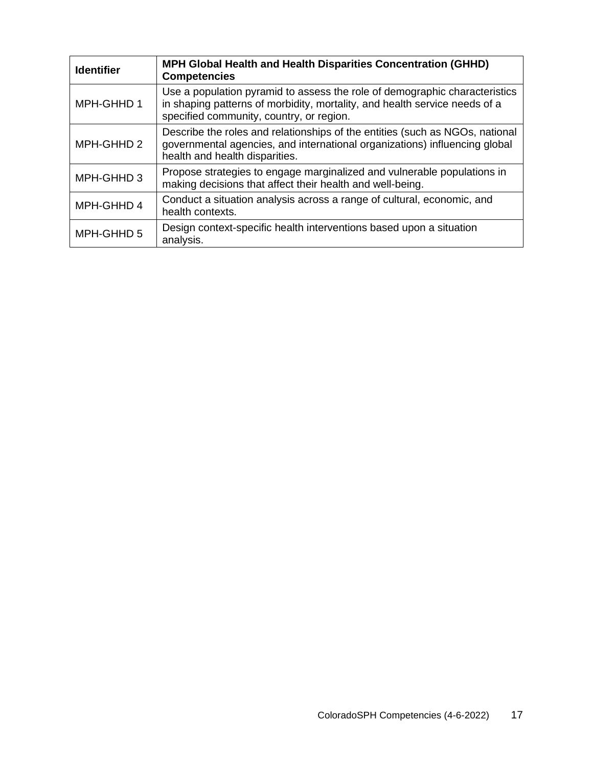| <b>Identifier</b> | <b>MPH Global Health and Health Disparities Concentration (GHHD)</b><br><b>Competencies</b>                                                                                                          |
|-------------------|------------------------------------------------------------------------------------------------------------------------------------------------------------------------------------------------------|
| MPH-GHHD 1        | Use a population pyramid to assess the role of demographic characteristics<br>in shaping patterns of morbidity, mortality, and health service needs of a<br>specified community, country, or region. |
| MPH-GHHD 2        | Describe the roles and relationships of the entities (such as NGOs, national<br>governmental agencies, and international organizations) influencing global<br>health and health disparities.         |
| MPH-GHHD 3        | Propose strategies to engage marginalized and vulnerable populations in<br>making decisions that affect their health and well-being.                                                                 |
| MPH-GHHD 4        | Conduct a situation analysis across a range of cultural, economic, and<br>health contexts.                                                                                                           |
| MPH-GHHD 5        | Design context-specific health interventions based upon a situation<br>analysis.                                                                                                                     |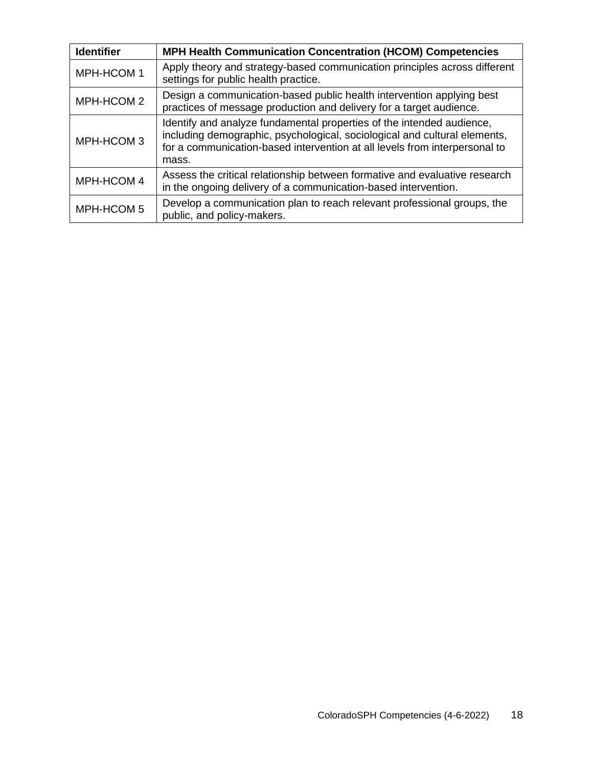| <b>Identifier</b> | <b>MPH Health Communication Concentration (HCOM) Competencies</b>                                                                                                                                                                         |
|-------------------|-------------------------------------------------------------------------------------------------------------------------------------------------------------------------------------------------------------------------------------------|
| MPH-HCOM 1        | Apply theory and strategy-based communication principles across different<br>settings for public health practice.                                                                                                                         |
| MPH-HCOM 2        | Design a communication-based public health intervention applying best<br>practices of message production and delivery for a target audience.                                                                                              |
| MPH-HCOM 3        | Identify and analyze fundamental properties of the intended audience,<br>including demographic, psychological, sociological and cultural elements,<br>for a communication-based intervention at all levels from interpersonal to<br>mass. |
| MPH-HCOM 4        | Assess the critical relationship between formative and evaluative research<br>in the ongoing delivery of a communication-based intervention.                                                                                              |
| MPH-HCOM 5        | Develop a communication plan to reach relevant professional groups, the<br>public, and policy-makers.                                                                                                                                     |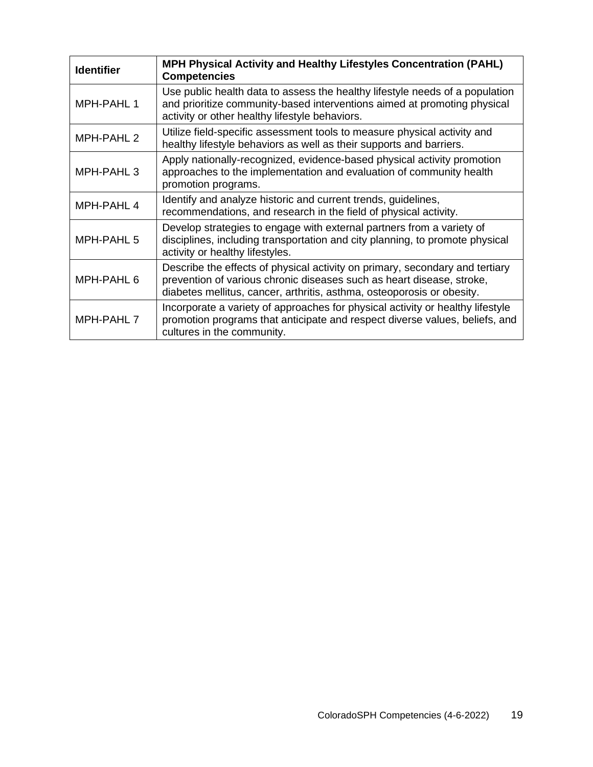| <b>Identifier</b>     | <b>MPH Physical Activity and Healthy Lifestyles Concentration (PAHL)</b><br><b>Competencies</b>                                                                                                                                 |
|-----------------------|---------------------------------------------------------------------------------------------------------------------------------------------------------------------------------------------------------------------------------|
| MPH-PAHL 1            | Use public health data to assess the healthy lifestyle needs of a population<br>and prioritize community-based interventions aimed at promoting physical<br>activity or other healthy lifestyle behaviors.                      |
| MPH-PAHL 2            | Utilize field-specific assessment tools to measure physical activity and<br>healthy lifestyle behaviors as well as their supports and barriers.                                                                                 |
| MPH-PAHL <sub>3</sub> | Apply nationally-recognized, evidence-based physical activity promotion<br>approaches to the implementation and evaluation of community health<br>promotion programs.                                                           |
| MPH-PAHL 4            | Identify and analyze historic and current trends, guidelines,<br>recommendations, and research in the field of physical activity.                                                                                               |
| MPH-PAHL 5            | Develop strategies to engage with external partners from a variety of<br>disciplines, including transportation and city planning, to promote physical<br>activity or healthy lifestyles.                                        |
| MPH-PAHL 6            | Describe the effects of physical activity on primary, secondary and tertiary<br>prevention of various chronic diseases such as heart disease, stroke,<br>diabetes mellitus, cancer, arthritis, asthma, osteoporosis or obesity. |
| MPH-PAHL 7            | Incorporate a variety of approaches for physical activity or healthy lifestyle<br>promotion programs that anticipate and respect diverse values, beliefs, and<br>cultures in the community.                                     |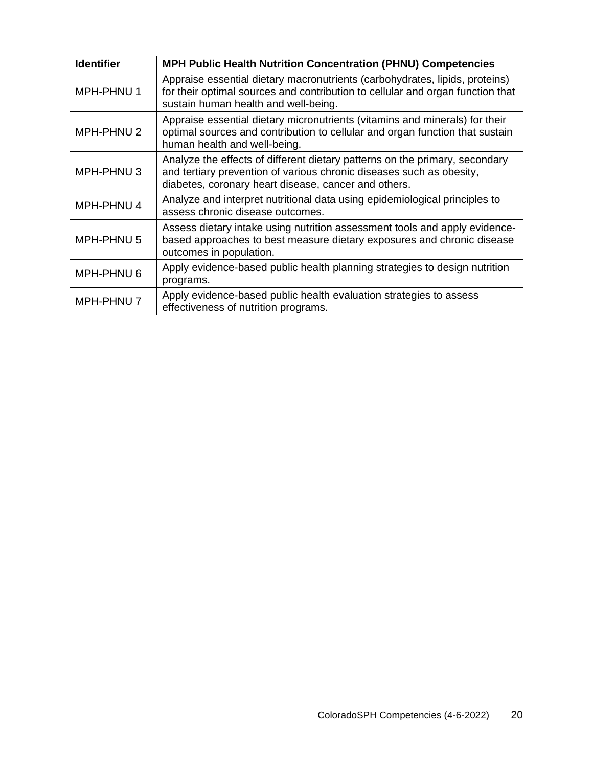| <b>Identifier</b> | <b>MPH Public Health Nutrition Concentration (PHNU) Competencies</b>                                                                                                                                        |
|-------------------|-------------------------------------------------------------------------------------------------------------------------------------------------------------------------------------------------------------|
| MPH-PHNU 1        | Appraise essential dietary macronutrients (carbohydrates, lipids, proteins)<br>for their optimal sources and contribution to cellular and organ function that<br>sustain human health and well-being.       |
| MPH-PHNU 2        | Appraise essential dietary micronutrients (vitamins and minerals) for their<br>optimal sources and contribution to cellular and organ function that sustain<br>human health and well-being.                 |
| MPH-PHNU3         | Analyze the effects of different dietary patterns on the primary, secondary<br>and tertiary prevention of various chronic diseases such as obesity,<br>diabetes, coronary heart disease, cancer and others. |
| MPH-PHNU 4        | Analyze and interpret nutritional data using epidemiological principles to<br>assess chronic disease outcomes.                                                                                              |
| MPH-PHNU 5        | Assess dietary intake using nutrition assessment tools and apply evidence-<br>based approaches to best measure dietary exposures and chronic disease<br>outcomes in population.                             |
| MPH-PHNU 6        | Apply evidence-based public health planning strategies to design nutrition<br>programs.                                                                                                                     |
| MPH-PHNU 7        | Apply evidence-based public health evaluation strategies to assess<br>effectiveness of nutrition programs.                                                                                                  |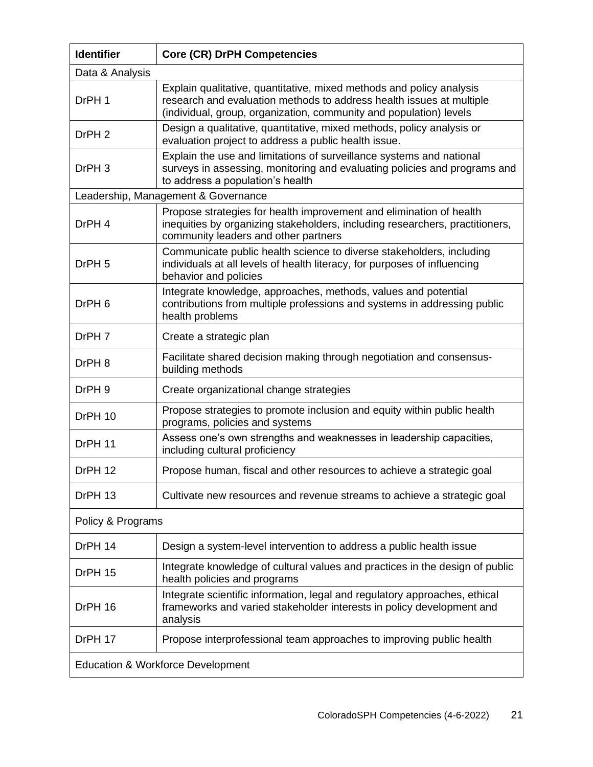| <b>Identifier</b>                            | <b>Core (CR) DrPH Competencies</b>                                                                                                                                                                                 |  |
|----------------------------------------------|--------------------------------------------------------------------------------------------------------------------------------------------------------------------------------------------------------------------|--|
| Data & Analysis                              |                                                                                                                                                                                                                    |  |
| DrPH 1                                       | Explain qualitative, quantitative, mixed methods and policy analysis<br>research and evaluation methods to address health issues at multiple<br>(individual, group, organization, community and population) levels |  |
| DrPH <sub>2</sub>                            | Design a qualitative, quantitative, mixed methods, policy analysis or<br>evaluation project to address a public health issue.                                                                                      |  |
| DrPH <sub>3</sub>                            | Explain the use and limitations of surveillance systems and national<br>surveys in assessing, monitoring and evaluating policies and programs and<br>to address a population's health                              |  |
|                                              | Leadership, Management & Governance                                                                                                                                                                                |  |
| DrPH 4                                       | Propose strategies for health improvement and elimination of health<br>inequities by organizing stakeholders, including researchers, practitioners,<br>community leaders and other partners                        |  |
| DrPH <sub>5</sub>                            | Communicate public health science to diverse stakeholders, including<br>individuals at all levels of health literacy, for purposes of influencing<br>behavior and policies                                         |  |
| DrPH <sub>6</sub>                            | Integrate knowledge, approaches, methods, values and potential<br>contributions from multiple professions and systems in addressing public<br>health problems                                                      |  |
| DrPH 7                                       | Create a strategic plan                                                                                                                                                                                            |  |
| DrPH 8                                       | Facilitate shared decision making through negotiation and consensus-<br>building methods                                                                                                                           |  |
| DrPH <sub>9</sub>                            | Create organizational change strategies                                                                                                                                                                            |  |
| DrPH 10                                      | Propose strategies to promote inclusion and equity within public health<br>programs, policies and systems                                                                                                          |  |
| DrPH 11                                      | Assess one's own strengths and weaknesses in leadership capacities,<br>including cultural proficiency                                                                                                              |  |
| DrPH 12                                      | Propose human, fiscal and other resources to achieve a strategic goal                                                                                                                                              |  |
| DrPH 13                                      | Cultivate new resources and revenue streams to achieve a strategic goal                                                                                                                                            |  |
| Policy & Programs                            |                                                                                                                                                                                                                    |  |
| DrPH 14                                      | Design a system-level intervention to address a public health issue                                                                                                                                                |  |
| DrPH 15                                      | Integrate knowledge of cultural values and practices in the design of public<br>health policies and programs                                                                                                       |  |
| DrPH 16                                      | Integrate scientific information, legal and regulatory approaches, ethical<br>frameworks and varied stakeholder interests in policy development and<br>analysis                                                    |  |
| DrPH 17                                      | Propose interprofessional team approaches to improving public health                                                                                                                                               |  |
| <b>Education &amp; Workforce Development</b> |                                                                                                                                                                                                                    |  |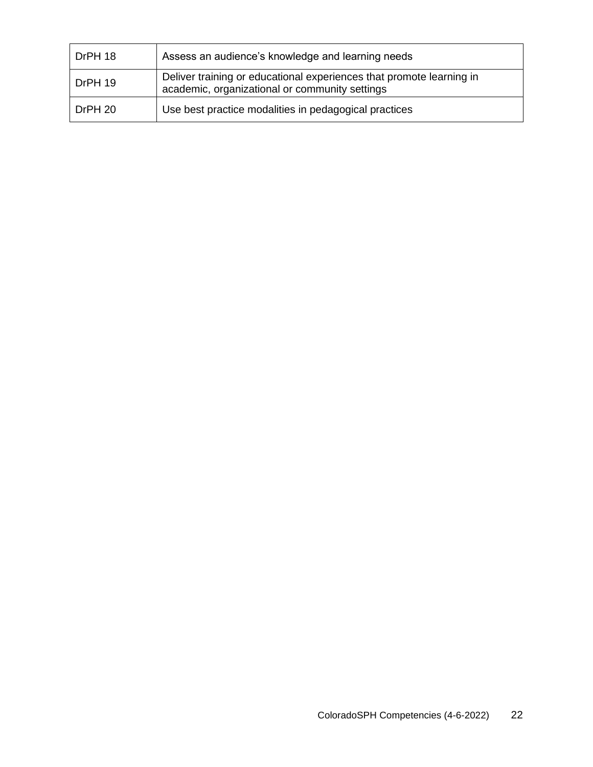| DrPH 18 | Assess an audience's knowledge and learning needs                                                                      |
|---------|------------------------------------------------------------------------------------------------------------------------|
| DrPH 19 | Deliver training or educational experiences that promote learning in<br>academic, organizational or community settings |
| DrPH 20 | Use best practice modalities in pedagogical practices                                                                  |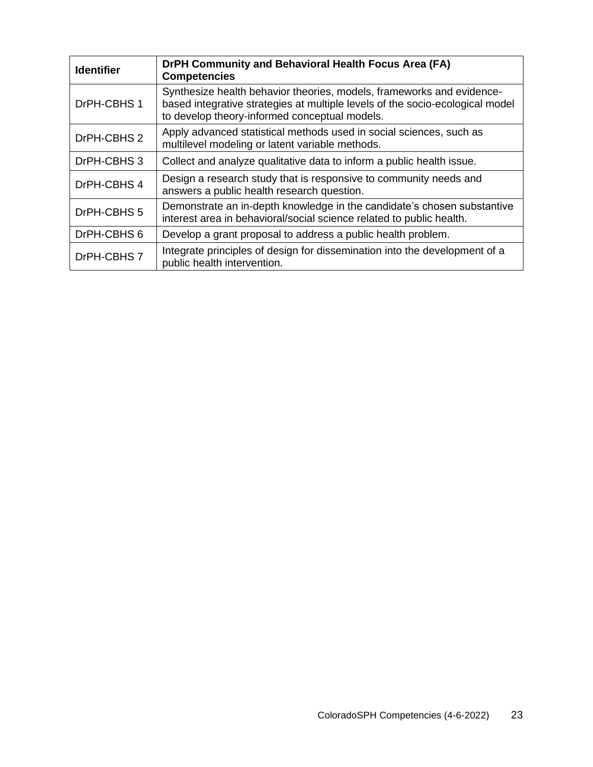| <b>Identifier</b> | DrPH Community and Behavioral Health Focus Area (FA)<br><b>Competencies</b>                                                                                                                             |
|-------------------|---------------------------------------------------------------------------------------------------------------------------------------------------------------------------------------------------------|
| DrPH-CBHS 1       | Synthesize health behavior theories, models, frameworks and evidence-<br>based integrative strategies at multiple levels of the socio-ecological model<br>to develop theory-informed conceptual models. |
| DrPH-CBHS 2       | Apply advanced statistical methods used in social sciences, such as<br>multilevel modeling or latent variable methods.                                                                                  |
| DrPH-CBHS 3       | Collect and analyze qualitative data to inform a public health issue.                                                                                                                                   |
| DrPH-CBHS 4       | Design a research study that is responsive to community needs and<br>answers a public health research question.                                                                                         |
| DrPH-CBHS 5       | Demonstrate an in-depth knowledge in the candidate's chosen substantive<br>interest area in behavioral/social science related to public health.                                                         |
| DrPH-CBHS 6       | Develop a grant proposal to address a public health problem.                                                                                                                                            |
| DrPH-CBHS 7       | Integrate principles of design for dissemination into the development of a<br>public health intervention.                                                                                               |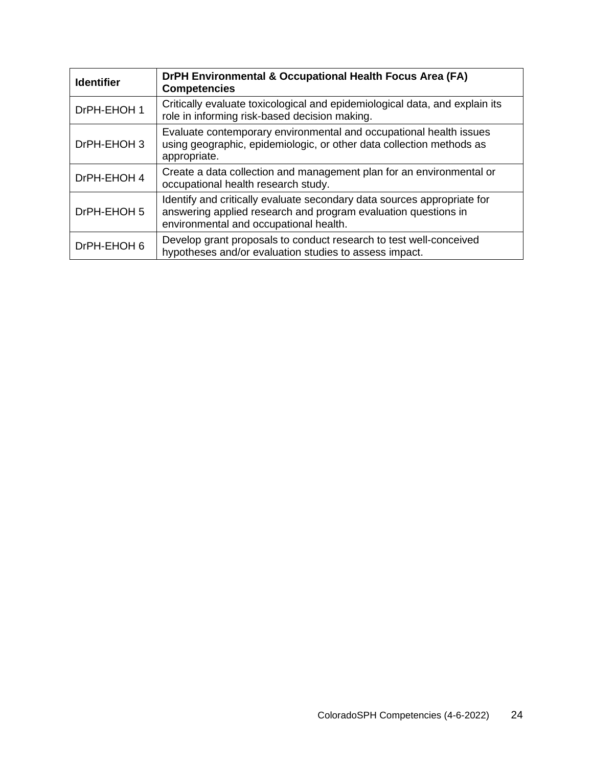| <b>Identifier</b> | DrPH Environmental & Occupational Health Focus Area (FA)<br><b>Competencies</b>                                                                                                     |
|-------------------|-------------------------------------------------------------------------------------------------------------------------------------------------------------------------------------|
| DrPH-EHOH 1       | Critically evaluate toxicological and epidemiological data, and explain its<br>role in informing risk-based decision making.                                                        |
| DrPH-EHOH 3       | Evaluate contemporary environmental and occupational health issues<br>using geographic, epidemiologic, or other data collection methods as<br>appropriate.                          |
| DrPH-EHOH 4       | Create a data collection and management plan for an environmental or<br>occupational health research study.                                                                         |
| DrPH-EHOH 5       | Identify and critically evaluate secondary data sources appropriate for<br>answering applied research and program evaluation questions in<br>environmental and occupational health. |
| DrPH-EHOH 6       | Develop grant proposals to conduct research to test well-conceived<br>hypotheses and/or evaluation studies to assess impact.                                                        |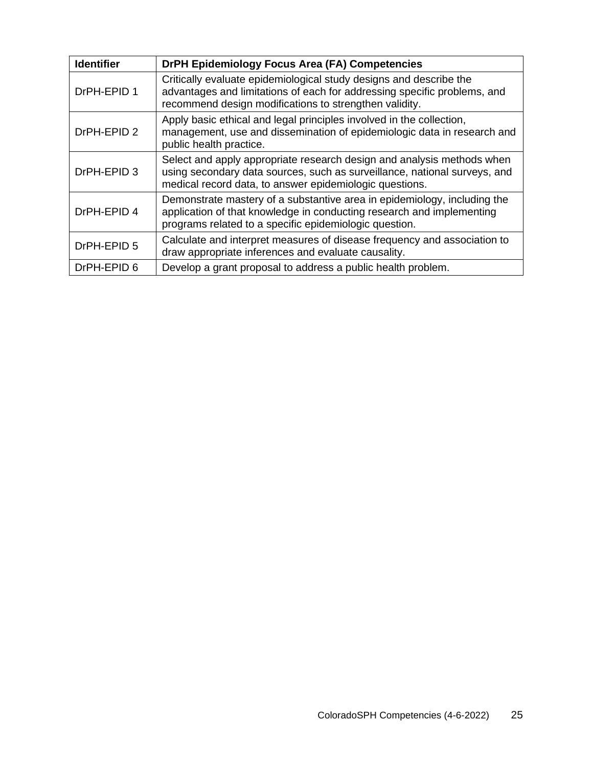| <b>Identifier</b> | DrPH Epidemiology Focus Area (FA) Competencies                                                                                                                                                                 |
|-------------------|----------------------------------------------------------------------------------------------------------------------------------------------------------------------------------------------------------------|
| DrPH-EPID 1       | Critically evaluate epidemiological study designs and describe the<br>advantages and limitations of each for addressing specific problems, and<br>recommend design modifications to strengthen validity.       |
| DrPH-EPID 2       | Apply basic ethical and legal principles involved in the collection,<br>management, use and dissemination of epidemiologic data in research and<br>public health practice.                                     |
| DrPH-EPID 3       | Select and apply appropriate research design and analysis methods when<br>using secondary data sources, such as surveillance, national surveys, and<br>medical record data, to answer epidemiologic questions. |
| DrPH-EPID 4       | Demonstrate mastery of a substantive area in epidemiology, including the<br>application of that knowledge in conducting research and implementing<br>programs related to a specific epidemiologic question.    |
| DrPH-EPID 5       | Calculate and interpret measures of disease frequency and association to<br>draw appropriate inferences and evaluate causality.                                                                                |
| DrPH-EPID 6       | Develop a grant proposal to address a public health problem.                                                                                                                                                   |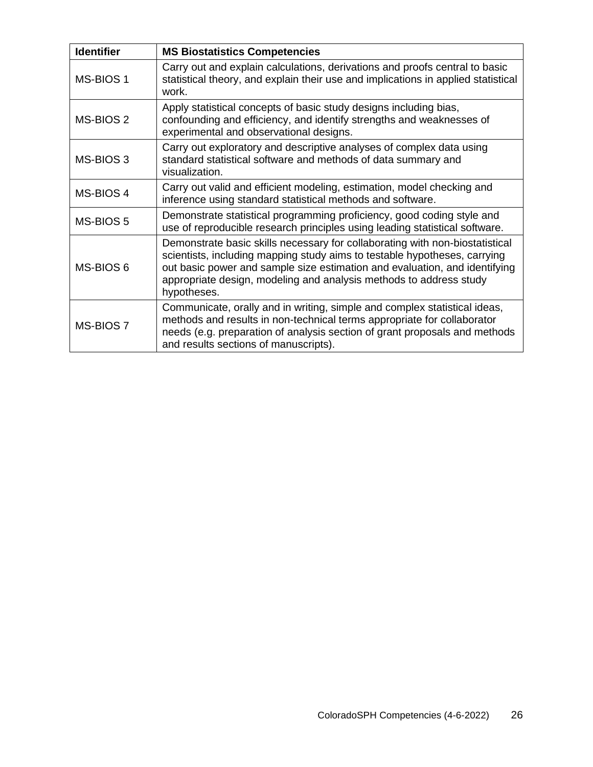| <b>Identifier</b> | <b>MS Biostatistics Competencies</b>                                                                                                                                                                                                                                                                                         |
|-------------------|------------------------------------------------------------------------------------------------------------------------------------------------------------------------------------------------------------------------------------------------------------------------------------------------------------------------------|
| MS-BIOS 1         | Carry out and explain calculations, derivations and proofs central to basic<br>statistical theory, and explain their use and implications in applied statistical<br>work.                                                                                                                                                    |
| MS-BIOS 2         | Apply statistical concepts of basic study designs including bias,<br>confounding and efficiency, and identify strengths and weaknesses of<br>experimental and observational designs.                                                                                                                                         |
| MS-BIOS 3         | Carry out exploratory and descriptive analyses of complex data using<br>standard statistical software and methods of data summary and<br>visualization.                                                                                                                                                                      |
| MS-BIOS 4         | Carry out valid and efficient modeling, estimation, model checking and<br>inference using standard statistical methods and software.                                                                                                                                                                                         |
| MS-BIOS 5         | Demonstrate statistical programming proficiency, good coding style and<br>use of reproducible research principles using leading statistical software.                                                                                                                                                                        |
| MS-BIOS 6         | Demonstrate basic skills necessary for collaborating with non-biostatistical<br>scientists, including mapping study aims to testable hypotheses, carrying<br>out basic power and sample size estimation and evaluation, and identifying<br>appropriate design, modeling and analysis methods to address study<br>hypotheses. |
| MS-BIOS 7         | Communicate, orally and in writing, simple and complex statistical ideas,<br>methods and results in non-technical terms appropriate for collaborator<br>needs (e.g. preparation of analysis section of grant proposals and methods<br>and results sections of manuscripts).                                                  |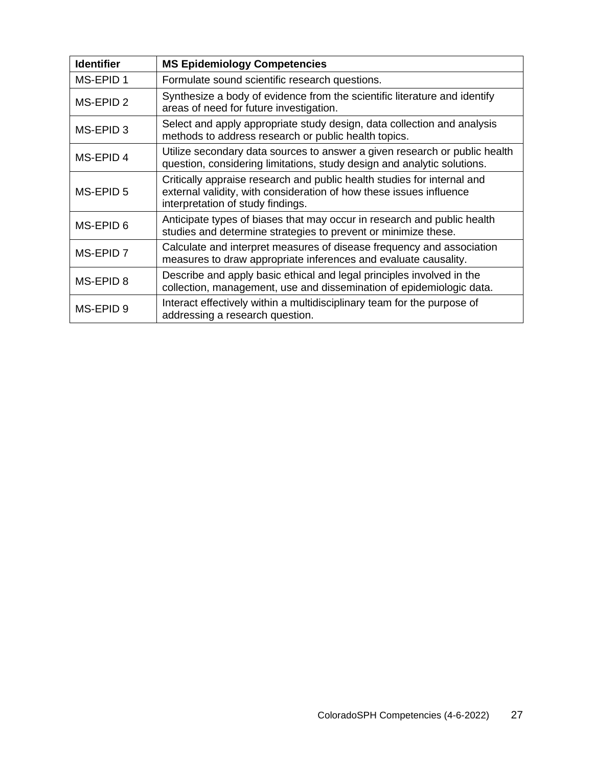| <b>Identifier</b>    | <b>MS Epidemiology Competencies</b>                                                                                                                                                 |
|----------------------|-------------------------------------------------------------------------------------------------------------------------------------------------------------------------------------|
| MS-EPID 1            | Formulate sound scientific research questions.                                                                                                                                      |
| MS-EPID <sub>2</sub> | Synthesize a body of evidence from the scientific literature and identify<br>areas of need for future investigation.                                                                |
| MS-EPID <sub>3</sub> | Select and apply appropriate study design, data collection and analysis<br>methods to address research or public health topics.                                                     |
| MS-EPID 4            | Utilize secondary data sources to answer a given research or public health<br>question, considering limitations, study design and analytic solutions.                               |
| MS-EPID 5            | Critically appraise research and public health studies for internal and<br>external validity, with consideration of how these issues influence<br>interpretation of study findings. |
| MS-EPID 6            | Anticipate types of biases that may occur in research and public health<br>studies and determine strategies to prevent or minimize these.                                           |
| MS-EPID 7            | Calculate and interpret measures of disease frequency and association<br>measures to draw appropriate inferences and evaluate causality.                                            |
| MS-EPID 8            | Describe and apply basic ethical and legal principles involved in the<br>collection, management, use and dissemination of epidemiologic data.                                       |
| MS-EPID 9            | Interact effectively within a multidisciplinary team for the purpose of<br>addressing a research question.                                                                          |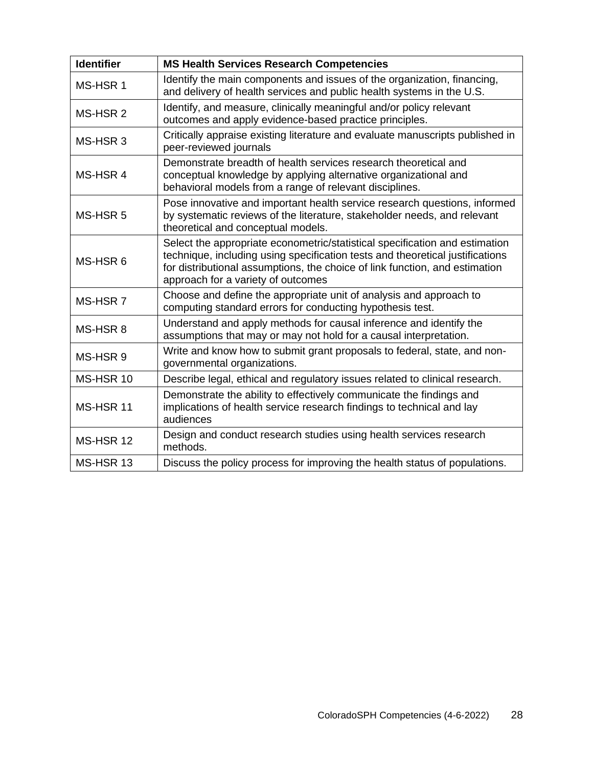| <b>Identifier</b> | <b>MS Health Services Research Competencies</b>                                                                                                                                                                                                                                   |
|-------------------|-----------------------------------------------------------------------------------------------------------------------------------------------------------------------------------------------------------------------------------------------------------------------------------|
| MS-HSR 1          | Identify the main components and issues of the organization, financing,<br>and delivery of health services and public health systems in the U.S.                                                                                                                                  |
| MS-HSR 2          | Identify, and measure, clinically meaningful and/or policy relevant<br>outcomes and apply evidence-based practice principles.                                                                                                                                                     |
| MS-HSR 3          | Critically appraise existing literature and evaluate manuscripts published in<br>peer-reviewed journals                                                                                                                                                                           |
| MS-HSR 4          | Demonstrate breadth of health services research theoretical and<br>conceptual knowledge by applying alternative organizational and<br>behavioral models from a range of relevant disciplines.                                                                                     |
| MS-HSR 5          | Pose innovative and important health service research questions, informed<br>by systematic reviews of the literature, stakeholder needs, and relevant<br>theoretical and conceptual models.                                                                                       |
| MS-HSR6           | Select the appropriate econometric/statistical specification and estimation<br>technique, including using specification tests and theoretical justifications<br>for distributional assumptions, the choice of link function, and estimation<br>approach for a variety of outcomes |
| MS-HSR 7          | Choose and define the appropriate unit of analysis and approach to<br>computing standard errors for conducting hypothesis test.                                                                                                                                                   |
| MS-HSR 8          | Understand and apply methods for causal inference and identify the<br>assumptions that may or may not hold for a causal interpretation.                                                                                                                                           |
| MS-HSR 9          | Write and know how to submit grant proposals to federal, state, and non-<br>governmental organizations.                                                                                                                                                                           |
| MS-HSR 10         | Describe legal, ethical and regulatory issues related to clinical research.                                                                                                                                                                                                       |
| MS-HSR 11         | Demonstrate the ability to effectively communicate the findings and<br>implications of health service research findings to technical and lay<br>audiences                                                                                                                         |
| MS-HSR 12         | Design and conduct research studies using health services research<br>methods.                                                                                                                                                                                                    |
| MS-HSR 13         | Discuss the policy process for improving the health status of populations.                                                                                                                                                                                                        |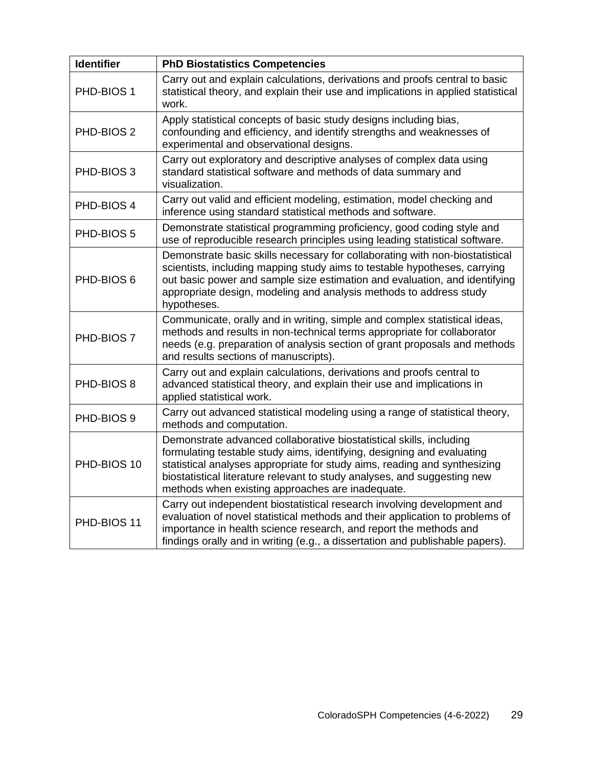| <b>Identifier</b> | <b>PhD Biostatistics Competencies</b>                                                                                                                                                                                                                                                                                                                      |
|-------------------|------------------------------------------------------------------------------------------------------------------------------------------------------------------------------------------------------------------------------------------------------------------------------------------------------------------------------------------------------------|
| PHD-BIOS 1        | Carry out and explain calculations, derivations and proofs central to basic<br>statistical theory, and explain their use and implications in applied statistical<br>work.                                                                                                                                                                                  |
| PHD-BIOS 2        | Apply statistical concepts of basic study designs including bias,<br>confounding and efficiency, and identify strengths and weaknesses of<br>experimental and observational designs.                                                                                                                                                                       |
| PHD-BIOS 3        | Carry out exploratory and descriptive analyses of complex data using<br>standard statistical software and methods of data summary and<br>visualization.                                                                                                                                                                                                    |
| PHD-BIOS 4        | Carry out valid and efficient modeling, estimation, model checking and<br>inference using standard statistical methods and software.                                                                                                                                                                                                                       |
| PHD-BIOS 5        | Demonstrate statistical programming proficiency, good coding style and<br>use of reproducible research principles using leading statistical software.                                                                                                                                                                                                      |
| PHD-BIOS 6        | Demonstrate basic skills necessary for collaborating with non-biostatistical<br>scientists, including mapping study aims to testable hypotheses, carrying<br>out basic power and sample size estimation and evaluation, and identifying<br>appropriate design, modeling and analysis methods to address study<br>hypotheses.                               |
| PHD-BIOS 7        | Communicate, orally and in writing, simple and complex statistical ideas,<br>methods and results in non-technical terms appropriate for collaborator<br>needs (e.g. preparation of analysis section of grant proposals and methods<br>and results sections of manuscripts).                                                                                |
| PHD-BIOS 8        | Carry out and explain calculations, derivations and proofs central to<br>advanced statistical theory, and explain their use and implications in<br>applied statistical work.                                                                                                                                                                               |
| PHD-BIOS 9        | Carry out advanced statistical modeling using a range of statistical theory,<br>methods and computation.                                                                                                                                                                                                                                                   |
| PHD-BIOS 10       | Demonstrate advanced collaborative biostatistical skills, including<br>formulating testable study aims, identifying, designing and evaluating<br>statistical analyses appropriate for study aims, reading and synthesizing<br>biostatistical literature relevant to study analyses, and suggesting new<br>methods when existing approaches are inadequate. |
| PHD-BIOS 11       | Carry out independent biostatistical research involving development and<br>evaluation of novel statistical methods and their application to problems of<br>importance in health science research, and report the methods and<br>findings orally and in writing (e.g., a dissertation and publishable papers).                                              |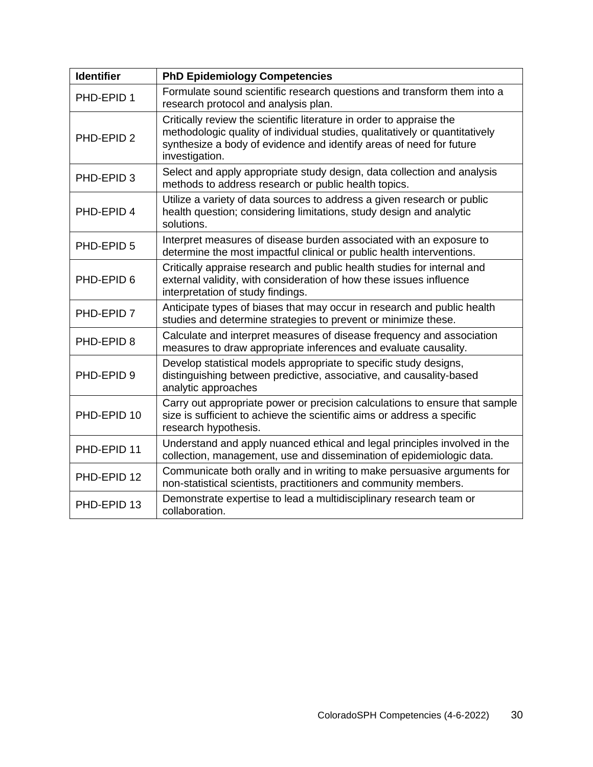| <b>Identifier</b> | <b>PhD Epidemiology Competencies</b>                                                                                                                                                                                                         |
|-------------------|----------------------------------------------------------------------------------------------------------------------------------------------------------------------------------------------------------------------------------------------|
| PHD-EPID 1        | Formulate sound scientific research questions and transform them into a<br>research protocol and analysis plan.                                                                                                                              |
| PHD-EPID 2        | Critically review the scientific literature in order to appraise the<br>methodologic quality of individual studies, qualitatively or quantitatively<br>synthesize a body of evidence and identify areas of need for future<br>investigation. |
| PHD-EPID 3        | Select and apply appropriate study design, data collection and analysis<br>methods to address research or public health topics.                                                                                                              |
| PHD-EPID 4        | Utilize a variety of data sources to address a given research or public<br>health question; considering limitations, study design and analytic<br>solutions.                                                                                 |
| PHD-EPID 5        | Interpret measures of disease burden associated with an exposure to<br>determine the most impactful clinical or public health interventions.                                                                                                 |
| PHD-EPID 6        | Critically appraise research and public health studies for internal and<br>external validity, with consideration of how these issues influence<br>interpretation of study findings.                                                          |
| PHD-EPID 7        | Anticipate types of biases that may occur in research and public health<br>studies and determine strategies to prevent or minimize these.                                                                                                    |
| PHD-EPID 8        | Calculate and interpret measures of disease frequency and association<br>measures to draw appropriate inferences and evaluate causality.                                                                                                     |
| PHD-EPID 9        | Develop statistical models appropriate to specific study designs,<br>distinguishing between predictive, associative, and causality-based<br>analytic approaches                                                                              |
| PHD-EPID 10       | Carry out appropriate power or precision calculations to ensure that sample<br>size is sufficient to achieve the scientific aims or address a specific<br>research hypothesis.                                                               |
| PHD-EPID 11       | Understand and apply nuanced ethical and legal principles involved in the<br>collection, management, use and dissemination of epidemiologic data.                                                                                            |
| PHD-EPID 12       | Communicate both orally and in writing to make persuasive arguments for<br>non-statistical scientists, practitioners and community members.                                                                                                  |
| PHD-EPID 13       | Demonstrate expertise to lead a multidisciplinary research team or<br>collaboration.                                                                                                                                                         |